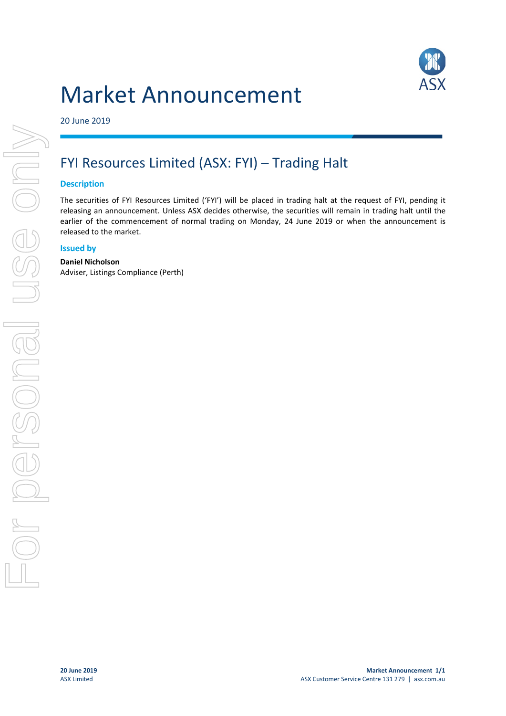# Market Announcement



20 June 2019

# FYI Resources Limited (ASX: FYI) – Trading Halt

### **Description**

The securities of FYI Resources Limited ('FYI') will be placed in trading halt at the request of FYI, pending it releasing an announcement. Unless ASX decides otherwise, the securities will remain in trading halt until the earlier of the commencement of normal trading on Monday, 24 June 2019 or when the announcement is released to the market.

#### **Issued by**

#### **Daniel Nicholson**

Adviser, Listings Compliance (Perth)